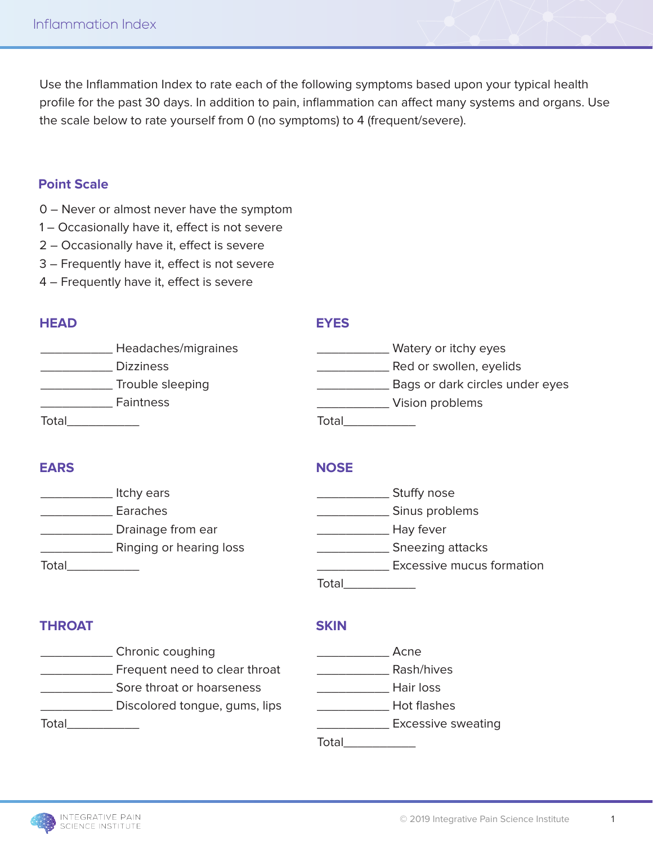Use the Inflammation Index to rate each of the following symptoms based upon your typical health profile for the past 30 days. In addition to pain, inflammation can affect many systems and organs. Use the scale below to rate yourself from 0 (no symptoms) to 4 (frequent/severe).

### **Point Scale**

- 0 Never or almost never have the symptom
- 1 Occasionally have it, effect is not severe
- 2 Occasionally have it, effect is severe
- 3 Frequently have it, effect is not severe
- 4 Frequently have it, effect is severe

### **HEAD**

#### **EYES**

| Headaches/migraines | Watery or itchy eyes            |
|---------------------|---------------------------------|
| <b>Dizziness</b>    | Red or swollen, eyelids         |
| Trouble sleeping    | Bags or dark circles under eyes |
| <b>Faintness</b>    | Vision problems                 |
| Total               | Total                           |

# **EARS**

### **NOSE**

|       | Itchy ears              | Stuffy nose               |  |
|-------|-------------------------|---------------------------|--|
|       | Earaches                | Sinus problems            |  |
|       | Drainage from ear       | Hay fever                 |  |
|       | Ringing or hearing loss | Sneezing attacks          |  |
| Total |                         | Excessive mucus formation |  |
|       |                         | Total                     |  |

# **THROAT**

#### **SKIN**

- \_\_\_\_\_\_\_\_\_\_ Chronic coughing **Example 20** Frequent need to clear throat **No. 2008** Sore throat or hoarseness \_\_\_\_\_\_\_\_\_\_ Discolored tongue, gums, lips Total\_\_\_\_\_\_\_\_\_\_
- de a Acne \_\_\_\_\_\_\_\_\_\_ Rash/hives \_\_\_\_\_\_\_\_\_\_ Hair loss \_\_\_\_\_\_\_\_\_\_ Hot flashes \_\_\_\_\_\_\_\_\_\_ Excessive sweating Total\_\_\_\_\_\_\_\_\_\_